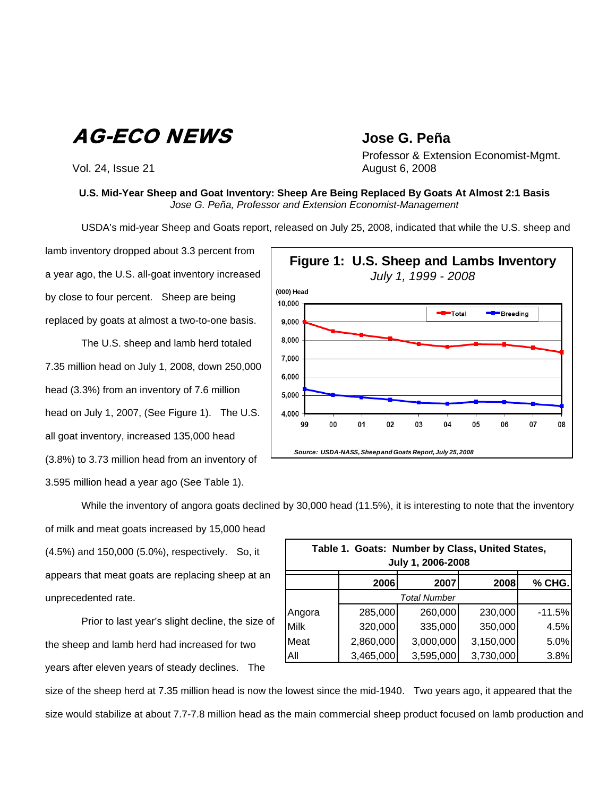AG-ECO NEWS **Jose G. Peña**

Vol. 24, Issue 21 **August 6, 2008** 

Professor & Extension Economist-Mgmt.

## **U.S. Mid-Year Sheep and Goat Inventory: Sheep Are Being Replaced By Goats At Almost 2:1 Basis**  *Jose G. Peña, Professor and Extension Economist-Management*

USDA's mid-year Sheep and Goats report, released on July 25, 2008, indicated that while the U.S. sheep and

lamb inventory dropped about 3.3 percent from a year ago, the U.S. all-goat inventory increased by close to four percent. Sheep are being replaced by goats at almost a two-to-one basis.

The U.S. sheep and lamb herd totaled 7.35 million head on July 1, 2008, down 250,000 head (3.3%) from an inventory of 7.6 million head on July 1, 2007, (See Figure 1). The U.S. all goat inventory, increased 135,000 head (3.8%) to 3.73 million head from an inventory of 3.595 million head a year ago (See Table 1).



While the inventory of angora goats declined by 30,000 head (11.5%), it is interesting to note that the inventory

of milk and meat goats increased by 15,000 head (4.5%) and 150,000 (5.0%), respectively. So, it appears that meat goats are replacing sheep at an unprecedented rate.

 Prior to last year's slight decline, the size of the sheep and lamb herd had increased for two years after eleven years of steady declines. The

| Table 1. Goats: Number by Class, United States,<br>July 1, 2006-2008 |           |           |           |          |  |  |  |  |  |  |
|----------------------------------------------------------------------|-----------|-----------|-----------|----------|--|--|--|--|--|--|
|                                                                      | 2006      | 2007      | 2008      | % CHG.   |  |  |  |  |  |  |
|                                                                      |           |           |           |          |  |  |  |  |  |  |
| Angora                                                               | 285,000   | 260,000   | 230,000   | $-11.5%$ |  |  |  |  |  |  |
| Milk                                                                 | 320,000   | 335,000   | 350,000   | 4.5%     |  |  |  |  |  |  |
| Meat                                                                 | 2,860,000 | 3,000,000 | 3,150,000 | 5.0%     |  |  |  |  |  |  |
| All                                                                  | 3,465,000 | 3,595,000 | 3,730,000 | 3.8%     |  |  |  |  |  |  |

size of the sheep herd at 7.35 million head is now the lowest since the mid-1940. Two years ago, it appeared that the size would stabilize at about 7.7-7.8 million head as the main commercial sheep product focused on lamb production and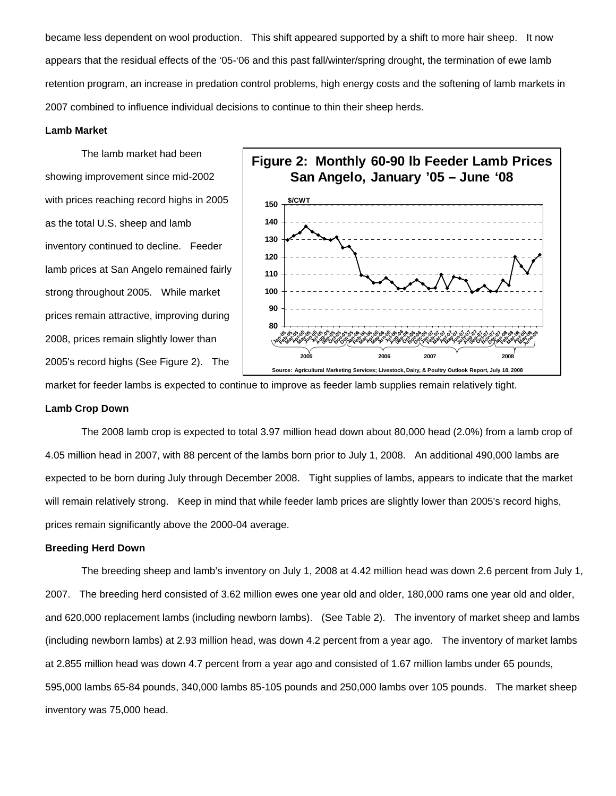became less dependent on wool production. This shift appeared supported by a shift to more hair sheep. It now appears that the residual effects of the '05-'06 and this past fall/winter/spring drought, the termination of ewe lamb retention program, an increase in predation control problems, high energy costs and the softening of lamb markets in 2007 combined to influence individual decisions to continue to thin their sheep herds.

## **Lamb Market**

 The lamb market had been showing improvement since mid-2002 with prices reaching record highs in 2005 as the total U.S. sheep and lamb inventory continued to decline. Feeder lamb prices at San Angelo remained fairly strong throughout 2005. While market prices remain attractive, improving during 2008, prices remain slightly lower than 2005's record highs (See Figure 2). The



market for feeder lambs is expected to continue to improve as feeder lamb supplies remain relatively tight.

## **Lamb Crop Down**

 The 2008 lamb crop is expected to total 3.97 million head down about 80,000 head (2.0%) from a lamb crop of 4.05 million head in 2007, with 88 percent of the lambs born prior to July 1, 2008. An additional 490,000 lambs are expected to be born during July through December 2008. Tight supplies of lambs, appears to indicate that the market will remain relatively strong. Keep in mind that while feeder lamb prices are slightly lower than 2005's record highs, prices remain significantly above the 2000-04 average.

## **Breeding Herd Down**

 The breeding sheep and lamb's inventory on July 1, 2008 at 4.42 million head was down 2.6 percent from July 1, 2007. The breeding herd consisted of 3.62 million ewes one year old and older, 180,000 rams one year old and older, and 620,000 replacement lambs (including newborn lambs). (See Table 2). The inventory of market sheep and lambs (including newborn lambs) at 2.93 million head, was down 4.2 percent from a year ago. The inventory of market lambs at 2.855 million head was down 4.7 percent from a year ago and consisted of 1.67 million lambs under 65 pounds, 595,000 lambs 65-84 pounds, 340,000 lambs 85-105 pounds and 250,000 lambs over 105 pounds. The market sheep inventory was 75,000 head.